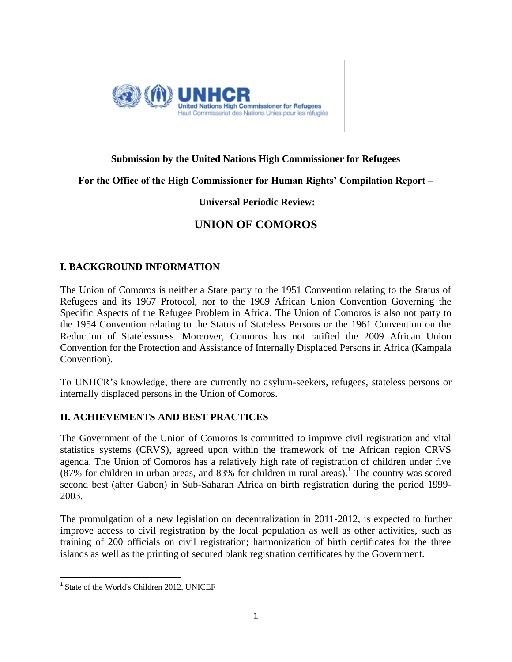

# **Submission by the United Nations High Commissioner for Refugees**

## **For the Office of the High Commissioner for Human Rights' Compilation Report –**

# **Universal Periodic Review:**

# **UNION OF COMOROS**

## **I. BACKGROUND INFORMATION**

The Union of Comoros is neither a State party to the 1951 Convention relating to the Status of Refugees and its 1967 Protocol, nor to the 1969 African Union Convention Governing the Specific Aspects of the Refugee Problem in Africa. The Union of Comoros is also not party to the 1954 Convention relating to the Status of Stateless Persons or the 1961 Convention on the Reduction of Statelessness. Moreover, Comoros has not ratified the 2009 African Union Convention for the Protection and Assistance of Internally Displaced Persons in Africa (Kampala Convention).

To UNHCR's knowledge, there are currently no asylum-seekers, refugees, stateless persons or internally displaced persons in the Union of Comoros.

## **II. ACHIEVEMENTS AND BEST PRACTICES**

The Government of the Union of Comoros is committed to improve civil registration and vital statistics systems (CRVS), agreed upon within the framework of the African region CRVS agenda. The Union of Comoros has a relatively high rate of registration of children under five  $(87\%$  for children in urban areas, and 83% for children in rural areas).<sup>1</sup> The country was scored second best (after Gabon) in Sub-Saharan Africa on birth registration during the period 1999- 2003.

The promulgation of a new legislation on decentralization in 2011-2012, is expected to further improve access to civil registration by the local population as well as other activities, such as training of 200 officials on civil registration; harmonization of birth certificates for the three islands as well as the printing of secured blank registration certificates by the Government.

<sup>&</sup>lt;sup>1</sup> State of the World's Children 2012, UNICEF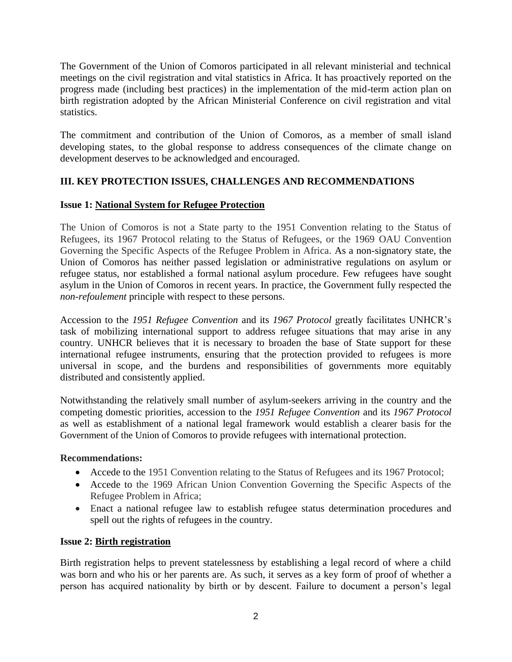The Government of the Union of Comoros participated in all relevant ministerial and technical meetings on the civil registration and vital statistics in Africa. It has proactively reported on the progress made (including best practices) in the implementation of the mid-term action plan on birth registration adopted by the African Ministerial Conference on civil registration and vital statistics.

The commitment and contribution of the Union of Comoros, as a member of small island developing states, to the global response to address consequences of the climate change on development deserves to be acknowledged and encouraged.

# **III. KEY PROTECTION ISSUES, CHALLENGES AND RECOMMENDATIONS**

# **Issue 1: National System for Refugee Protection**

The Union of Comoros is not a State party to the 1951 Convention relating to the Status of Refugees, its 1967 Protocol relating to the Status of Refugees, or the 1969 OAU Convention Governing the Specific Aspects of the Refugee Problem in Africa. As a non-signatory state, the Union of Comoros has neither passed legislation or administrative regulations on asylum or refugee status, nor established a formal national asylum procedure. Few refugees have sought asylum in the Union of Comoros in recent years. In practice, the Government fully respected the *non-refoulement* principle with respect to these persons.

Accession to the *1951 Refugee Convention* and its *1967 Protocol* greatly facilitates UNHCR's task of mobilizing international support to address refugee situations that may arise in any country. UNHCR believes that it is necessary to broaden the base of State support for these international refugee instruments, ensuring that the protection provided to refugees is more universal in scope, and the burdens and responsibilities of governments more equitably distributed and consistently applied.

Notwithstanding the relatively small number of asylum-seekers arriving in the country and the competing domestic priorities, accession to the *1951 Refugee Convention* and its *1967 Protocol* as well as establishment of a national legal framework would establish a clearer basis for the Government of the Union of Comoros to provide refugees with international protection.

## **Recommendations:**

- Accede to the 1951 Convention relating to the Status of Refugees and its 1967 Protocol;
- Accede to the 1969 African Union Convention Governing the Specific Aspects of the Refugee Problem in Africa;
- Enact a national refugee law to establish refugee status determination procedures and spell out the rights of refugees in the country.

## **Issue 2: Birth registration**

Birth registration helps to prevent statelessness by establishing a legal record of where a child was born and who his or her parents are. As such, it serves as a key form of proof of whether a person has acquired nationality by birth or by descent. Failure to document a person's legal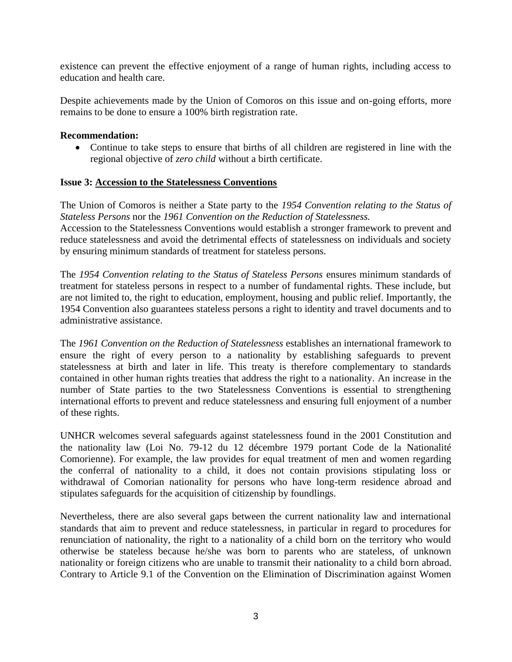existence can prevent the effective enjoyment of a range of human rights, including access to education and health care.

Despite achievements made by the Union of Comoros on this issue and on-going efforts, more remains to be done to ensure a 100% birth registration rate.

#### **Recommendation:**

 Continue to take steps to ensure that births of all children are registered in line with the regional objective of *zero child* without a birth certificate.

#### **Issue 3: Accession to the Statelessness Conventions**

The Union of Comoros is neither a State party to the *1954 Convention relating to the Status of Stateless Persons* nor the *1961 Convention on the Reduction of Statelessness.*

Accession to the Statelessness Conventions would establish a stronger framework to prevent and reduce statelessness and avoid the detrimental effects of statelessness on individuals and society by ensuring minimum standards of treatment for stateless persons.

The *1954 Convention relating to the Status of Stateless Persons* ensures minimum standards of treatment for stateless persons in respect to a number of fundamental rights. These include, but are not limited to, the right to education, employment, housing and public relief. Importantly, the 1954 Convention also guarantees stateless persons a right to identity and travel documents and to administrative assistance.

The *1961 Convention on the Reduction of Statelessness* establishes an international framework to ensure the right of every person to a nationality by establishing safeguards to prevent statelessness at birth and later in life. This treaty is therefore complementary to standards contained in other human rights treaties that address the right to a nationality. An increase in the number of State parties to the two Statelessness Conventions is essential to strengthening international efforts to prevent and reduce statelessness and ensuring full enjoyment of a number of these rights.

UNHCR welcomes several safeguards against statelessness found in the 2001 Constitution and the nationality law (Loi No. 79-12 du 12 décembre 1979 portant Code de la Nationalité Comorienne). For example, the law provides for equal treatment of men and women regarding the conferral of nationality to a child, it does not contain provisions stipulating loss or withdrawal of Comorian nationality for persons who have long-term residence abroad and stipulates safeguards for the acquisition of citizenship by foundlings.

Nevertheless, there are also several gaps between the current nationality law and international standards that aim to prevent and reduce statelessness, in particular in regard to procedures for renunciation of nationality, the right to a nationality of a child born on the territory who would otherwise be stateless because he/she was born to parents who are stateless, of unknown nationality or foreign citizens who are unable to transmit their nationality to a child born abroad. Contrary to Article 9.1 of the Convention on the Elimination of Discrimination against Women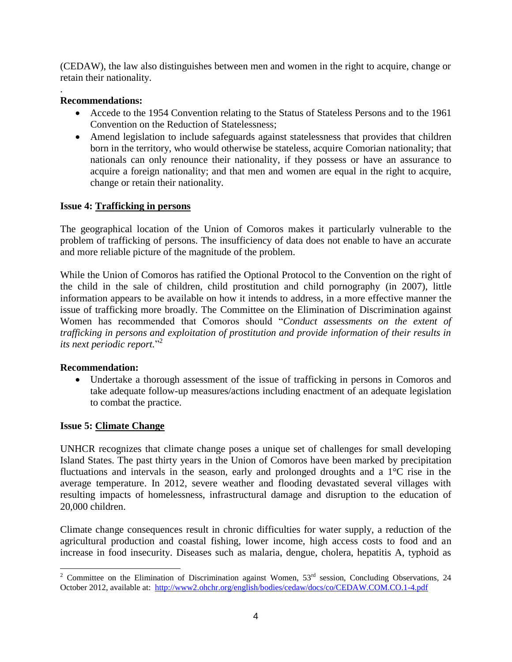(CEDAW), the law also distinguishes between men and women in the right to acquire, change or retain their nationality.

## **Recommendations:**

.

- Accede to the 1954 Convention relating to the Status of Stateless Persons and to the 1961 Convention on the Reduction of Statelessness;
- Amend legislation to include safeguards against statelessness that provides that children born in the territory, who would otherwise be stateless, acquire Comorian nationality; that nationals can only renounce their nationality, if they possess or have an assurance to acquire a foreign nationality; and that men and women are equal in the right to acquire, change or retain their nationality.

## **Issue 4: Trafficking in persons**

The geographical location of the Union of Comoros makes it particularly vulnerable to the problem of trafficking of persons. The insufficiency of data does not enable to have an accurate and more reliable picture of the magnitude of the problem.

While the Union of Comoros has ratified the Optional Protocol to the Convention on the right of the child in the sale of children, child prostitution and child pornography (in 2007), little information appears to be available on how it intends to address, in a more effective manner the issue of trafficking more broadly. The Committee on the Elimination of Discrimination against Women has recommended that Comoros should "*Conduct assessments on the extent of trafficking in persons and exploitation of prostitution and provide information of their results in its next periodic report.*" 2

#### **Recommendation:**

 Undertake a thorough assessment of the issue of trafficking in persons in Comoros and take adequate follow-up measures/actions including enactment of an adequate legislation to combat the practice.

#### **Issue 5: Climate Change**

UNHCR recognizes that climate change poses a unique set of challenges for small developing Island States. The past thirty years in the Union of Comoros have been marked by precipitation fluctuations and intervals in the season, early and prolonged droughts and a 1°C rise in the average temperature. In 2012, severe weather and flooding devastated several villages with resulting impacts of homelessness, infrastructural damage and disruption to the education of 20,000 children.

Climate change consequences result in chronic difficulties for water supply, a reduction of the agricultural production and coastal fishing, lower income, high access costs to food and an increase in food insecurity. Diseases such as malaria, dengue, cholera, hepatitis A, typhoid as

 $\overline{a}$ <sup>2</sup> Committee on the Elimination of Discrimination against Women,  $53<sup>rd</sup>$  session, Concluding Observations, 24 October 2012, available at:<http://www2.ohchr.org/english/bodies/cedaw/docs/co/CEDAW.COM.CO.1-4.pdf>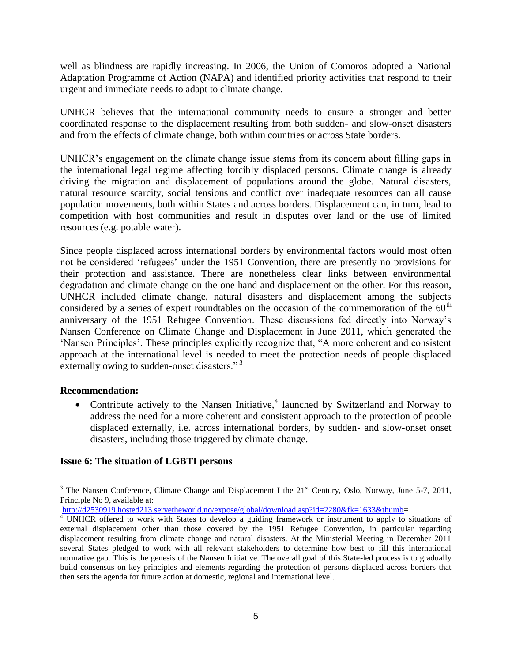well as blindness are rapidly increasing. In 2006, the Union of Comoros adopted a National Adaptation Programme of Action (NAPA) and identified priority activities that respond to their urgent and immediate needs to adapt to climate change.

UNHCR believes that the international community needs to ensure a stronger and better coordinated response to the displacement resulting from both sudden- and slow-onset disasters and from the effects of climate change, both within countries or across State borders.

UNHCR's engagement on the climate change issue stems from its concern about filling gaps in the international legal regime affecting forcibly displaced persons. Climate change is already driving the migration and displacement of populations around the globe. Natural disasters, natural resource scarcity, social tensions and conflict over inadequate resources can all cause population movements, both within States and across borders. Displacement can, in turn, lead to competition with host communities and result in disputes over land or the use of limited resources (e.g. potable water).

Since people displaced across international borders by environmental factors would most often not be considered 'refugees' under the 1951 Convention, there are presently no provisions for their protection and assistance. There are nonetheless clear links between environmental degradation and climate change on the one hand and displacement on the other. For this reason, UNHCR included climate change, natural disasters and displacement among the subjects considered by a series of expert roundtables on the occasion of the commemoration of the  $60<sup>th</sup>$ anniversary of the 1951 Refugee Convention. These discussions fed directly into Norway's Nansen Conference on Climate Change and Displacement in June 2011, which generated the 'Nansen Principles'. These principles explicitly recognize that, "A more coherent and consistent approach at the international level is needed to meet the protection needs of people displaced externally owing to sudden-onset disasters."<sup>3</sup>

#### **Recommendation:**

• Contribute actively to the Nansen Initiative,<sup>4</sup> launched by Switzerland and Norway to address the need for a more coherent and consistent approach to the protection of people displaced externally, i.e. across international borders, by sudden- and slow-onset onset disasters, including those triggered by climate change.

#### **Issue 6: The situation of LGBTI persons**

 $3$  The Nansen Conference, Climate Change and Displacement I the  $21<sup>st</sup>$  Century, Oslo, Norway, June 5-7, 2011, Principle No 9, available at:

[http://d2530919.hosted213.servetheworld.no/expose/global/download.asp?id=2280&fk=1633&thumb=](http://d2530919.hosted213.servetheworld.no/expose/global/download.asp?id=2280&fk=1633&thumb)

<sup>&</sup>lt;sup>4</sup> UNHCR offered to work with States to develop a guiding framework or instrument to apply to situations of external displacement other than those covered by the 1951 Refugee Convention, in particular regarding displacement resulting from climate change and natural disasters. At the Ministerial Meeting in December 2011 several States pledged to work with all relevant stakeholders to determine how best to fill this international normative gap. This is the genesis of the Nansen Initiative. The overall goal of this State-led process is to gradually build consensus on key principles and elements regarding the protection of persons displaced across borders that then sets the agenda for future action at domestic, regional and international level.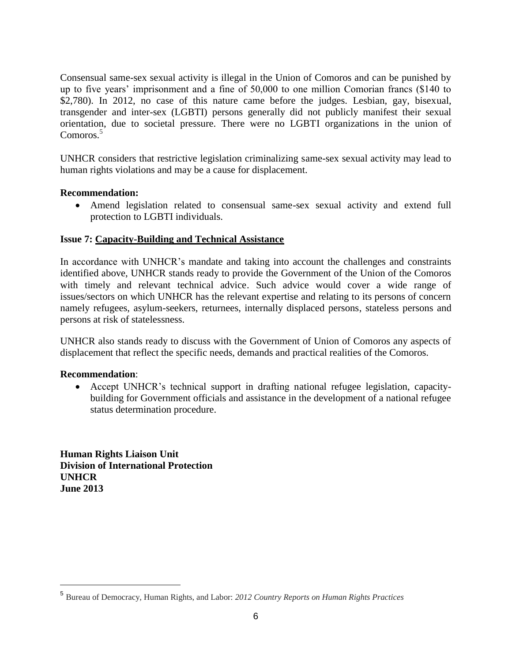Consensual same-sex sexual activity is illegal in the Union of Comoros and can be punished by up to five years' imprisonment and a fine of 50,000 to one million Comorian francs (\$140 to \$2,780). In 2012, no case of this nature came before the judges. Lesbian, gay, bisexual, transgender and inter-sex (LGBTI) persons generally did not publicly manifest their sexual orientation, due to societal pressure. There were no LGBTI organizations in the union of Comoros.<sup>5</sup>

UNHCR considers that restrictive legislation criminalizing same-sex sexual activity may lead to human rights violations and may be a cause for displacement.

## **Recommendation:**

 Amend legislation related to consensual same-sex sexual activity and extend full protection to LGBTI individuals.

## **Issue 7: Capacity-Building and Technical Assistance**

In accordance with UNHCR's mandate and taking into account the challenges and constraints identified above, UNHCR stands ready to provide the Government of the Union of the Comoros with timely and relevant technical advice. Such advice would cover a wide range of issues/sectors on which UNHCR has the relevant expertise and relating to its persons of concern namely refugees, asylum-seekers, returnees, internally displaced persons, stateless persons and persons at risk of statelessness.

UNHCR also stands ready to discuss with the Government of Union of Comoros any aspects of displacement that reflect the specific needs, demands and practical realities of the Comoros.

#### **Recommendation**:

 $\overline{a}$ 

 Accept UNHCR's technical support in drafting national refugee legislation, capacitybuilding for Government officials and assistance in the development of a national refugee status determination procedure.

**Human Rights Liaison Unit Division of International Protection UNHCR June 2013**

<sup>5</sup> Bureau of Democracy, Human Rights, and Labor: *[2012 Country Reports on Human Rights Practices](http://www.state.gov/j/drl/rls/hrrpt/2012/index.htm)*